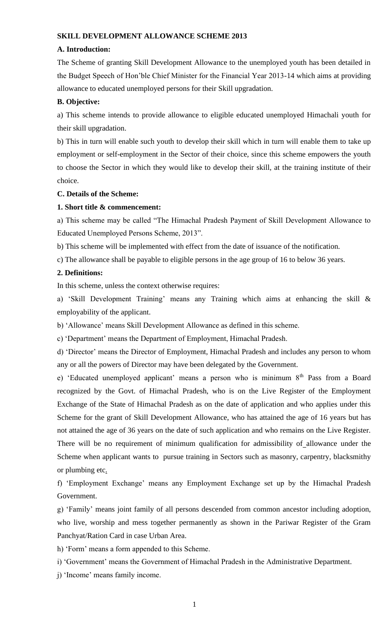#### **SKILL DEVELOPMENT ALLOWANCE SCHEME 2013**

#### **A. Introduction:**

The Scheme of granting Skill Development Allowance to the unemployed youth has been detailed in the Budget Speech of Hon'ble Chief Minister for the Financial Year 2013-14 which aims at providing allowance to educated unemployed persons for their Skill upgradation.

#### **B. Objective:**

a) This scheme intends to provide allowance to eligible educated unemployed Himachali youth for their skill upgradation.

b) This in turn will enable such youth to develop their skill which in turn will enable them to take up employment or self-employment in the Sector of their choice, since this scheme empowers the youth to choose the Sector in which they would like to develop their skill, at the training institute of their choice.

#### **C. Details of the Scheme:**

#### **1. Short title & commencement:**

a) This scheme may be called "The Himachal Pradesh Payment of Skill Development Allowance to Educated Unemployed Persons Scheme, 2013".

b) This scheme will be implemented with effect from the date of issuance of the notification.

c) The allowance shall be payable to eligible persons in the age group of 16 to below 36 years.

#### **2. Definitions:**

In this scheme, unless the context otherwise requires:

a) 'Skill Development Training' means any Training which aims at enhancing the skill & employability of the applicant.

b) 'Allowance' means Skill Development Allowance as defined in this scheme.

c) 'Department' means the Department of Employment, Himachal Pradesh.

d) 'Director' means the Director of Employment, Himachal Pradesh and includes any person to whom any or all the powers of Director may have been delegated by the Government.

e) 'Educated unemployed applicant' means a person who is minimum  $8<sup>th</sup>$  Pass from a Board recognized by the Govt. of Himachal Pradesh, who is on the Live Register of the Employment Exchange of the State of Himachal Pradesh as on the date of application and who applies under this Scheme for the grant of Skill Development Allowance, who has attained the age of 16 years but has not attained the age of 36 years on the date of such application and who remains on the Live Register. There will be no requirement of minimum qualification for admissibility of allowance under the Scheme when applicant wants to pursue training in Sectors such as masonry, carpentry, blacksmithy or plumbing etc.

f) 'Employment Exchange' means any Employment Exchange set up by the Himachal Pradesh Government.

g) 'Family' means joint family of all persons descended from common ancestor including adoption, who live, worship and mess together permanently as shown in the Pariwar Register of the Gram Panchyat/Ration Card in case Urban Area.

h) 'Form' means a form appended to this Scheme.

i) 'Government' means the Government of Himachal Pradesh in the Administrative Department.

j) 'Income' means family income.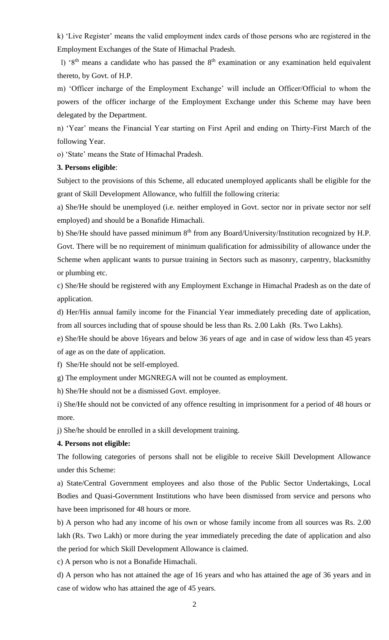k) 'Live Register' means the valid employment index cards of those persons who are registered in the Employment Exchanges of the State of Himachal Pradesh.

l) '8<sup>th</sup> means a candidate who has passed the  $8<sup>th</sup>$  examination or any examination held equivalent thereto, by Govt. of H.P.

m) 'Officer incharge of the Employment Exchange' will include an Officer/Official to whom the powers of the officer incharge of the Employment Exchange under this Scheme may have been delegated by the Department.

n) 'Year' means the Financial Year starting on First April and ending on Thirty-First March of the following Year.

o) 'State' means the State of Himachal Pradesh.

## **3. Persons eligible**:

Subject to the provisions of this Scheme, all educated unemployed applicants shall be eligible for the grant of Skill Development Allowance, who fulfill the following criteria:

a) She/He should be unemployed (i.e. neither employed in Govt. sector nor in private sector nor self employed) and should be a Bonafide Himachali.

b) She/He should have passed minimum  $8<sup>th</sup>$  from any Board/University/Institution recognized by H.P. Govt. There will be no requirement of minimum qualification for admissibility of allowance under the Scheme when applicant wants to pursue training in Sectors such as masonry, carpentry, blacksmithy or plumbing etc.

c) She/He should be registered with any Employment Exchange in Himachal Pradesh as on the date of application.

d) Her/His annual family income for the Financial Year immediately preceding date of application, from all sources including that of spouse should be less than Rs. 2.00 Lakh (Rs. Two Lakhs).

e) She/He should be above 16years and below 36 years of age and in case of widow less than 45 years of age as on the date of application.

f) She/He should not be self-employed.

g) The employment under MGNREGA will not be counted as employment.

h) She/He should not be a dismissed Govt. employee.

i) She/He should not be convicted of any offence resulting in imprisonment for a period of 48 hours or more.

j) She/he should be enrolled in a skill development training.

## **4. Persons not eligible:**

The following categories of persons shall not be eligible to receive Skill Development Allowance under this Scheme:

a) State/Central Government employees and also those of the Public Sector Undertakings, Local Bodies and Quasi-Government Institutions who have been dismissed from service and persons who have been imprisoned for 48 hours or more.

b) A person who had any income of his own or whose family income from all sources was Rs. 2.00 lakh (Rs. Two Lakh) or more during the year immediately preceding the date of application and also the period for which Skill Development Allowance is claimed.

c) A person who is not a Bonafide Himachali.

d) A person who has not attained the age of 16 years and who has attained the age of 36 years and in case of widow who has attained the age of 45 years.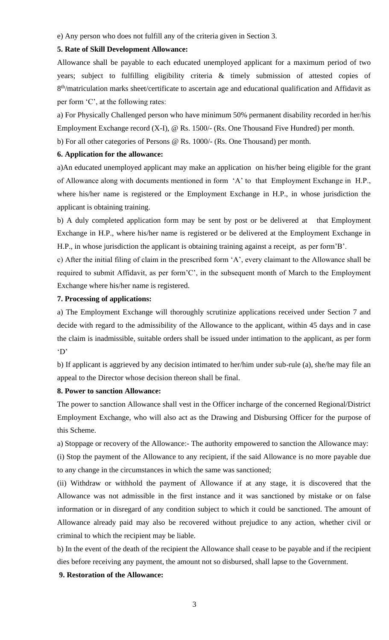e) Any person who does not fulfill any of the criteria given in Section 3.

## **5. Rate of Skill Development Allowance:**

Allowance shall be payable to each educated unemployed applicant for a maximum period of two years; subject to fulfilling eligibility criteria & timely submission of attested copies of 8<sup>th</sup>/matriculation marks sheet/certificate to ascertain age and educational qualification and Affidavit as per form 'C', at the following rates:

a) For Physically Challenged person who have minimum 50% permanent disability recorded in her/his Employment Exchange record (X-I), @ Rs. 1500/- (Rs. One Thousand Five Hundred) per month.

b) For all other categories of Persons @ Rs. 1000/- (Rs. One Thousand) per month.

## **6. Application for the allowance:**

a)An educated unemployed applicant may make an application on his/her being eligible for the grant of Allowance along with documents mentioned in form 'A' to that Employment Exchange in H.P., where his/her name is registered or the Employment Exchange in H.P., in whose jurisdiction the applicant is obtaining training.

b) A duly completed application form may be sent by post or be delivered at that Employment Exchange in H.P., where his/her name is registered or be delivered at the Employment Exchange in H.P., in whose jurisdiction the applicant is obtaining training against a receipt, as per form'B'.

c) After the initial filing of claim in the prescribed form 'A', every claimant to the Allowance shall be required to submit Affidavit, as per form'C', in the subsequent month of March to the Employment Exchange where his/her name is registered.

## **7. Processing of applications:**

a) The Employment Exchange will thoroughly scrutinize applications received under Section 7 and decide with regard to the admissibility of the Allowance to the applicant, within 45 days and in case the claim is inadmissible, suitable orders shall be issued under intimation to the applicant, as per form 'D'

b) If applicant is aggrieved by any decision intimated to her/him under sub-rule (a), she/he may file an appeal to the Director whose decision thereon shall be final.

#### **8. Power to sanction Allowance:**

The power to sanction Allowance shall vest in the Officer incharge of the concerned Regional/District Employment Exchange, who will also act as the Drawing and Disbursing Officer for the purpose of this Scheme.

a) Stoppage or recovery of the Allowance:- The authority empowered to sanction the Allowance may:

(i) Stop the payment of the Allowance to any recipient, if the said Allowance is no more payable due to any change in the circumstances in which the same was sanctioned;

(ii) Withdraw or withhold the payment of Allowance if at any stage, it is discovered that the Allowance was not admissible in the first instance and it was sanctioned by mistake or on false information or in disregard of any condition subject to which it could be sanctioned. The amount of Allowance already paid may also be recovered without prejudice to any action, whether civil or criminal to which the recipient may be liable.

b) In the event of the death of the recipient the Allowance shall cease to be payable and if the recipient dies before receiving any payment, the amount not so disbursed, shall lapse to the Government.

## **9. Restoration of the Allowance:**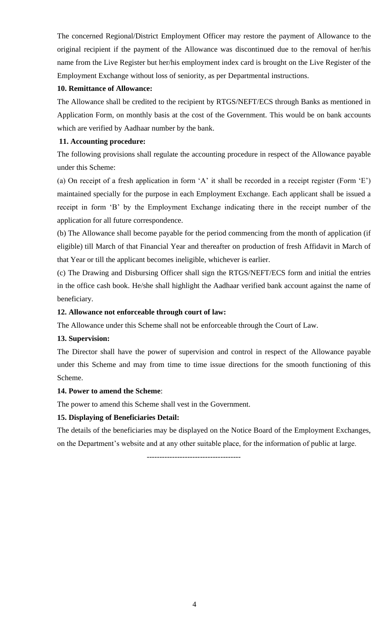The concerned Regional/District Employment Officer may restore the payment of Allowance to the original recipient if the payment of the Allowance was discontinued due to the removal of her/his name from the Live Register but her/his employment index card is brought on the Live Register of the Employment Exchange without loss of seniority, as per Departmental instructions.

## **10. Remittance of Allowance:**

The Allowance shall be credited to the recipient by RTGS/NEFT/ECS through Banks as mentioned in Application Form, on monthly basis at the cost of the Government. This would be on bank accounts which are verified by Aadhaar number by the bank.

## **11. Accounting procedure:**

The following provisions shall regulate the accounting procedure in respect of the Allowance payable under this Scheme:

(a) On receipt of a fresh application in form 'A' it shall be recorded in a receipt register (Form 'E') maintained specially for the purpose in each Employment Exchange. Each applicant shall be issued a receipt in form 'B' by the Employment Exchange indicating there in the receipt number of the application for all future correspondence.

(b) The Allowance shall become payable for the period commencing from the month of application (if eligible) till March of that Financial Year and thereafter on production of fresh Affidavit in March of that Year or till the applicant becomes ineligible, whichever is earlier.

(c) The Drawing and Disbursing Officer shall sign the RTGS/NEFT/ECS form and initial the entries in the office cash book. He/she shall highlight the Aadhaar verified bank account against the name of beneficiary.

## **12. Allowance not enforceable through court of law:**

The Allowance under this Scheme shall not be enforceable through the Court of Law.

## **13. Supervision:**

The Director shall have the power of supervision and control in respect of the Allowance payable under this Scheme and may from time to time issue directions for the smooth functioning of this Scheme.

## **14. Power to amend the Scheme**:

The power to amend this Scheme shall vest in the Government.

## **15. Displaying of Beneficiaries Detail:**

The details of the beneficiaries may be displayed on the Notice Board of the Employment Exchanges, on the Department's website and at any other suitable place, for the information of public at large.

-------------------------------------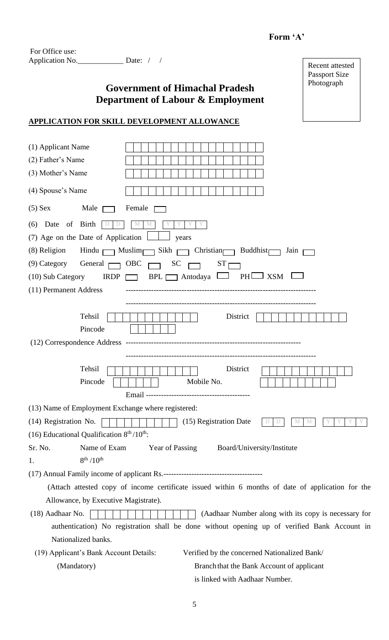## **Form 'A'**

Recent attested Passport Size Photograph

| For Office use: |                  |  |
|-----------------|------------------|--|
| Application No. | Date: $\sqrt{ }$ |  |

# **Government of Himachal Pradesh Department of Labour & Employment**

**APPLICATION FOR SKILL DEVELOPMENT ALLOWANCE**

| (1) Applicant Name<br>(2) Father's Name<br>(3) Mother's Name<br>(4) Spouse's Name            |                                                                                                                                                                     |  |  |  |  |
|----------------------------------------------------------------------------------------------|---------------------------------------------------------------------------------------------------------------------------------------------------------------------|--|--|--|--|
|                                                                                              |                                                                                                                                                                     |  |  |  |  |
| $(5)$ Sex<br>Male [                                                                          | Female                                                                                                                                                              |  |  |  |  |
| (6) Date of Birth<br>D<br>$\cup$                                                             | M<br>M                                                                                                                                                              |  |  |  |  |
| (7) Age on the Date of Application                                                           | years                                                                                                                                                               |  |  |  |  |
| (8) Religion                                                                                 | Hindu $\Box$ Muslim $\Box$ Sikh $\Box$ Christian $\Box$ Buddhist<br>Jain $\Box$                                                                                     |  |  |  |  |
| General $\Box$ OBC $\Box$<br>$(9)$ Category                                                  | $ST \rightarrow$<br>$SC \square$                                                                                                                                    |  |  |  |  |
| (10) Sub Category                                                                            | IRDP $\Box$ BPL $\Box$ Antodaya $\Box$ PH $\Box$ XSM                                                                                                                |  |  |  |  |
| (11) Permanent Address                                                                       |                                                                                                                                                                     |  |  |  |  |
| Tehsil<br>Pincode                                                                            | District                                                                                                                                                            |  |  |  |  |
|                                                                                              |                                                                                                                                                                     |  |  |  |  |
|                                                                                              |                                                                                                                                                                     |  |  |  |  |
| Tehsil<br>Pincode                                                                            | District<br>Mobile No.<br>Email-                                                                                                                                    |  |  |  |  |
| (13) Name of Employment Exchange where registered:                                           |                                                                                                                                                                     |  |  |  |  |
|                                                                                              | $(14)$ Registration No. $\boxed{\phantom{1}\phantom{1}\phantom{1}\phantom{1}\phantom{1}}$ (15) Registration Date<br>$\mathbf{M}$ $\blacksquare$ $\mathbf{M}$<br>D D |  |  |  |  |
| (16) Educational Qualification $8th/10th$ :                                                  |                                                                                                                                                                     |  |  |  |  |
| Name of Exam<br>Sr. No.                                                                      | <b>Year of Passing</b><br>Board/University/Institute                                                                                                                |  |  |  |  |
| $8^{th}$ /10 <sup>th</sup><br>1.                                                             |                                                                                                                                                                     |  |  |  |  |
|                                                                                              |                                                                                                                                                                     |  |  |  |  |
|                                                                                              | (Attach attested copy of income certificate issued within 6 months of date of application for the                                                                   |  |  |  |  |
| Allowance, by Executive Magistrate).                                                         |                                                                                                                                                                     |  |  |  |  |
| (18) Aadhaar No.<br>(Aadhaar Number along with its copy is necessary for                     |                                                                                                                                                                     |  |  |  |  |
| authentication) No registration shall be done without opening up of verified Bank Account in |                                                                                                                                                                     |  |  |  |  |
| Nationalized banks.                                                                          |                                                                                                                                                                     |  |  |  |  |
| (19) Applicant's Bank Account Details:                                                       | Verified by the concerned Nationalized Bank/                                                                                                                        |  |  |  |  |
| (Mandatory)                                                                                  | Branch that the Bank Account of applicant                                                                                                                           |  |  |  |  |
|                                                                                              | is linked with Aadhaar Number.                                                                                                                                      |  |  |  |  |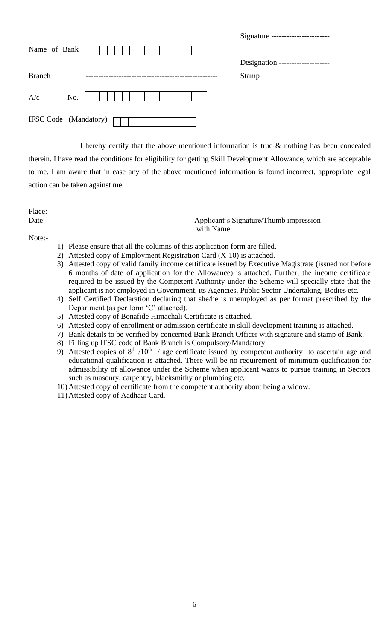|               |                              | Signature --------------------   |
|---------------|------------------------------|----------------------------------|
| Name of Bank  |                              |                                  |
|               |                              | Designation -------------------- |
| <b>Branch</b> |                              | <b>Stamp</b>                     |
| A/c           | No.                          |                                  |
|               | <b>IFSC Code</b> (Mandatory) |                                  |

I hereby certify that the above mentioned information is true & nothing has been concealed therein. I have read the conditions for eligibility for getting Skill Development Allowance, which are acceptable to me. I am aware that in case any of the above mentioned information is found incorrect, appropriate legal action can be taken against me.

Place:

Date: **Date:** Applicant's Signature/Thumb impression with Name

Note:-

- 1) Please ensure that all the columns of this application form are filled.
- 2) Attested copy of Employment Registration Card (X-10) is attached.
- 3) Attested copy of valid family income certificate issued by Executive Magistrate (issued not before 6 months of date of application for the Allowance) is attached. Further, the income certificate required to be issued by the Competent Authority under the Scheme will specially state that the applicant is not employed in Government, its Agencies, Public Sector Undertaking, Bodies etc.
- 4) Self Certified Declaration declaring that she/he is unemployed as per format prescribed by the Department (as per form 'C' attached).
- 5) Attested copy of Bonafide Himachali Certificate is attached.
- 6) Attested copy of enrollment or admission certificate in skill development training is attached.
- 7) Bank details to be verified by concerned Bank Branch Officer with signature and stamp of Bank.
- 8) Filling up IFSC code of Bank Branch is Compulsory/Mandatory.
- 9) Attested copies of  $8<sup>th</sup> / 10<sup>th</sup>$  / age certificate issued by competent authority to ascertain age and educational qualification is attached. There will be no requirement of minimum qualification for admissibility of allowance under the Scheme when applicant wants to pursue training in Sectors such as masonry, carpentry, blacksmithy or plumbing etc.
- 10) Attested copy of certificate from the competent authority about being a widow.
- 11) Attested copy of Aadhaar Card.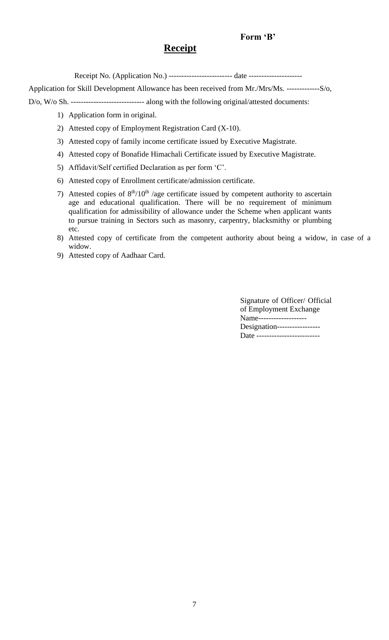## **Form 'B'**

# **Receipt**

Receipt No. (Application No.) -------------------------- date -------------------------

Application for Skill Development Allowance has been received from Mr./Mrs/Ms. -------------S/o,

D/o, W/o Sh. ----------------------------- along with the following original/attested documents:

- 1) Application form in original.
- 2) Attested copy of Employment Registration Card (X-10).
- 3) Attested copy of family income certificate issued by Executive Magistrate.
- 4) Attested copy of Bonafide Himachali Certificate issued by Executive Magistrate.
- 5) Affidavit/Self certified Declaration as per form 'C'.
- 6) Attested copy of Enrollment certificate/admission certificate.
- 7) Attested copies of  $8<sup>th</sup>/10<sup>th</sup>$  /age certificate issued by competent authority to ascertain age and educational qualification. There will be no requirement of minimum qualification for admissibility of allowance under the Scheme when applicant wants to pursue training in Sectors such as masonry, carpentry, blacksmithy or plumbing etc.
- 8) Attested copy of certificate from the competent authority about being a widow, in case of a widow.
- 9) Attested copy of Aadhaar Card.

Signature of Officer/ Official of Employment Exchange Name------------------- Designation----------------- Date --------------------------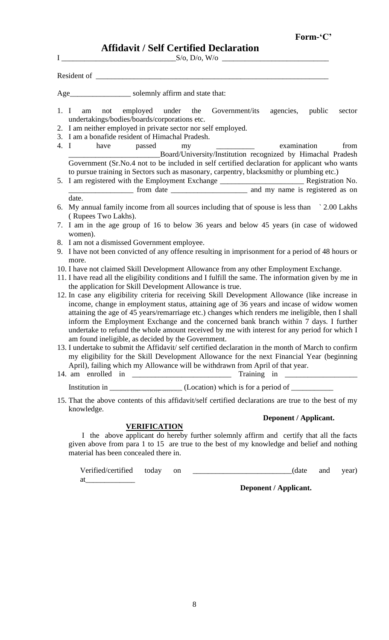$I \qquad S/O, D/O, W/O$ 

| Resident of |  |  |  |
|-------------|--|--|--|
|             |  |  |  |

Age\_\_\_\_\_\_\_\_\_\_\_\_\_\_\_\_\_\_\_\_\_\_ solemnly affirm and state that:

- 1. I am not employed under the Government/its agencies, public sector undertakings/bodies/boards/corporations etc.
- 2. I am neither employed in private sector nor self employed.
- 3. I am a bonafide resident of Himachal Pradesh.

4. I have passed my examination from \_\_\_\_\_\_\_\_\_\_\_\_\_\_\_\_\_\_\_\_\_\_\_\_Board/University/Institution recognized by Himachal Pradesh Government (Sr.No.4 not to be included in self certified declaration for applicant who wants to pursue training in Sectors such as masonary, carpentry, blacksmithy or plumbing etc.)

5. I am registered with the Employment Exchange \_\_\_\_\_\_\_\_\_\_\_\_\_\_\_\_\_\_\_\_\_\_ Registration No. \_\_\_\_\_\_\_\_\_\_\_\_\_\_\_\_\_ from date \_\_\_\_\_\_\_\_\_\_\_\_\_\_\_\_\_\_\_\_ and my name is registered as on

#### date.

- 6. My annual family income from all sources including that of spouse is less than ` 2.00 Lakhs ( Rupees Two Lakhs).
- 7. I am in the age group of 16 to below 36 years and below 45 years (in case of widowed women).
- 8. I am not a dismissed Government employee.
- 9. I have not been convicted of any offence resulting in imprisonment for a period of 48 hours or more.
- 10. I have not claimed Skill Development Allowance from any other Employment Exchange.
- 11. I have read all the eligibility conditions and I fulfill the same. The information given by me in the application for Skill Development Allowance is true.
- 12. In case any eligibility criteria for receiving Skill Development Allowance (like increase in income, change in employment status, attaining age of 36 years and incase of widow women attaining the age of 45 years/remarriage etc.) changes which renders me ineligible, then I shall inform the Employment Exchange and the concerned bank branch within 7 days. I further undertake to refund the whole amount received by me with interest for any period for which I am found ineligible, as decided by the Government.
- 13. I undertake to submit the Affidavit/ self certified declaration in the month of March to confirm my eligibility for the Skill Development Allowance for the next Financial Year (beginning April), failing which my Allowance will be withdrawn from April of that year.
- 14. am enrolled in \_\_\_\_\_\_\_\_\_\_\_\_\_\_\_\_\_\_\_\_\_\_\_\_\_\_ Training in \_\_\_\_\_\_\_\_\_\_\_\_\_\_\_\_\_\_\_

Institution in  $(Location)$  which is for a period of

15. That the above contents of this affidavit/self certified declarations are true to the best of my knowledge.

## **VERIFICATION**

at

## **Deponent / Applicant.**

I the above applicant do hereby further solemnly affirm and certify that all the facts given above from para 1 to 15 are true to the best of my knowledge and belief and nothing material has been concealed there in.

Verified/certified today on \_\_\_\_\_\_\_\_\_\_\_\_\_\_\_\_\_\_\_\_\_\_\_\_\_\_(date and year)

**Deponent / Applicant.**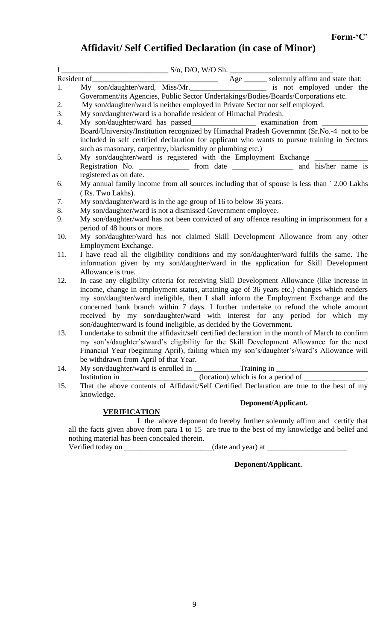# **Affidavit/ Self Certified Declaration (in case of Minor)**

|     | T<br>Resident of<br>Resident of<br>Ny son/daughter/ward, Miss/Mr.<br>Miss/Mr.<br>Miss/Mr.<br>Resident prophetic is not employed under the<br>Resident of the son/daughter/ward, Miss/Mr.<br>Son/daughter/ward, Miss/Mr. |  |  |  |  |  |  |
|-----|-------------------------------------------------------------------------------------------------------------------------------------------------------------------------------------------------------------------------|--|--|--|--|--|--|
|     |                                                                                                                                                                                                                         |  |  |  |  |  |  |
|     | Government/its Agencies, Public Sector Undertakings/Bodies/Boards/Corporations etc.                                                                                                                                     |  |  |  |  |  |  |
| 2.  | My son/daughter/ward is neither employed in Private Sector nor self employed.                                                                                                                                           |  |  |  |  |  |  |
| 3.  | My son/daughter/ward is a bonafide resident of Himachal Pradesh.                                                                                                                                                        |  |  |  |  |  |  |
| 4.  | My son/daughter/ward has passed__________________ examination from                                                                                                                                                      |  |  |  |  |  |  |
|     | Board/University/Institution recognized by Himachal Pradesh Governmnt (Sr.No.-4 not to be                                                                                                                               |  |  |  |  |  |  |
|     | included in self certified declaration for applicant who wants to pursue training in Sectors                                                                                                                            |  |  |  |  |  |  |
|     | such as masonary, carpentry, blacksmithy or plumbing etc.)                                                                                                                                                              |  |  |  |  |  |  |
| 5.  | My son/daughter/ward is registered with the Employment Exchange _______                                                                                                                                                 |  |  |  |  |  |  |
|     | Registration No. _________________ from date _____________________ and his/her name is                                                                                                                                  |  |  |  |  |  |  |
|     | registered as on date.                                                                                                                                                                                                  |  |  |  |  |  |  |
| 6.  | My annual family income from all sources including that of spouse is less than `2.00 Lakhs                                                                                                                              |  |  |  |  |  |  |
|     | (Rs. Two Lakhs).                                                                                                                                                                                                        |  |  |  |  |  |  |
| 7.  | My son/daughter/ward is in the age group of 16 to below 36 years.                                                                                                                                                       |  |  |  |  |  |  |
| 8.  | My son/daughter/ward is not a dismissed Government employee.                                                                                                                                                            |  |  |  |  |  |  |
| 9.  | My son/daughter/ward has not been convicted of any offence resulting in imprisonment for a                                                                                                                              |  |  |  |  |  |  |
|     | period of 48 hours or more.                                                                                                                                                                                             |  |  |  |  |  |  |
| 10. | My son/daughter/ward has not claimed Skill Development Allowance from any other                                                                                                                                         |  |  |  |  |  |  |
|     | Employment Exchange.                                                                                                                                                                                                    |  |  |  |  |  |  |
| 11. | I have read all the eligibility conditions and my son/daughter/ward fulfils the same. The                                                                                                                               |  |  |  |  |  |  |
|     | information given by my son/daughter/ward in the application for Skill Development                                                                                                                                      |  |  |  |  |  |  |
|     | Allowance is true.                                                                                                                                                                                                      |  |  |  |  |  |  |
| 12. | In case any eligibility criteria for receiving Skill Development Allowance (like increase in                                                                                                                            |  |  |  |  |  |  |
|     | income, change in employment status, attaining age of 36 years etc.) changes which renders                                                                                                                              |  |  |  |  |  |  |
|     | my son/daughter/ward ineligible, then I shall inform the Employment Exchange and the                                                                                                                                    |  |  |  |  |  |  |
|     | concerned bank branch within 7 days. I further undertake to refund the whole amount                                                                                                                                     |  |  |  |  |  |  |
|     | received by my son/daughter/ward with interest for any period for which my                                                                                                                                              |  |  |  |  |  |  |
|     | son/daughter/ward is found ineligible, as decided by the Government.                                                                                                                                                    |  |  |  |  |  |  |
| 13. | I undertake to submit the affidavit/self certified declaration in the month of March to confirm                                                                                                                         |  |  |  |  |  |  |
|     | my son's/daughter's/ward's eligibility for the Skill Development Allowance for the next                                                                                                                                 |  |  |  |  |  |  |
|     | Financial Year (beginning April), failing which my son's/daughter's/ward's Allowance will                                                                                                                               |  |  |  |  |  |  |
|     | be withdrawn from April of that Year.                                                                                                                                                                                   |  |  |  |  |  |  |
| 14. |                                                                                                                                                                                                                         |  |  |  |  |  |  |
|     |                                                                                                                                                                                                                         |  |  |  |  |  |  |
| 15. | That the above contents of Affidavit/Self Certified Declaration are true to the best of my                                                                                                                              |  |  |  |  |  |  |
|     | knowledge.                                                                                                                                                                                                              |  |  |  |  |  |  |
|     | Deponent/Applicant.                                                                                                                                                                                                     |  |  |  |  |  |  |

## **VERIFICATION**

 I the above deponent do hereby further solemnly affirm and certify that all the facts given above from para 1 to 15 are true to the best of my knowledge and belief and nothing material has been concealed therein. Verified today on \_\_\_\_\_\_\_\_\_\_\_\_\_\_\_\_\_\_\_\_\_\_\_(date and year) at \_\_\_\_\_\_\_\_\_\_\_\_\_\_\_\_\_\_\_\_

 **Deponent/Applicant.**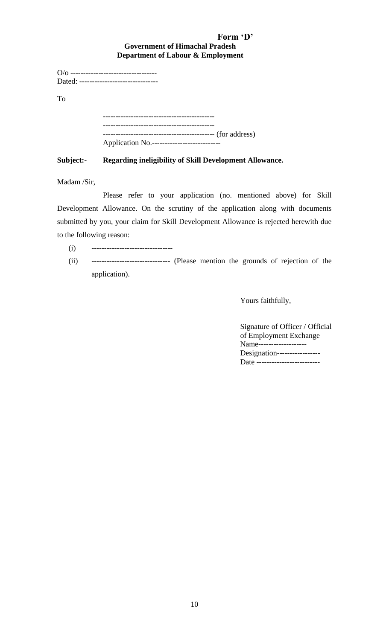## **Form 'D' Government of Himachal Pradesh Department of Labour & Employment**

|    | Dated: --------------------------------    |
|----|--------------------------------------------|
| To |                                            |
|    |                                            |
|    | Application No.--------------------------- |

## **Subject:- Regarding ineligibility of Skill Development Allowance.**

Madam /Sir,

Please refer to your application (no. mentioned above) for Skill Development Allowance. On the scrutiny of the application along with documents submitted by you, your claim for Skill Development Allowance is rejected herewith due to the following reason:

(i) --------------------------------

(ii) ------------------------------- (Please mention the grounds of rejection of the application).

Yours faithfully,

Signature of Officer / Official of Employment Exchange Name------------------- Designation----------------- Date --------------------------